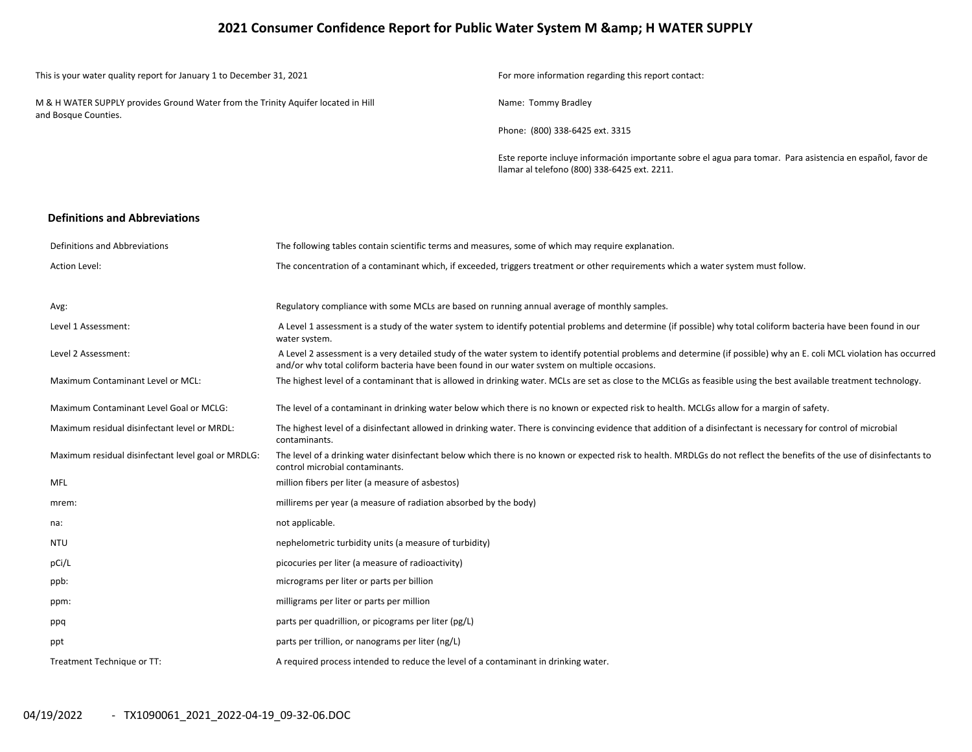## **2021 Consumer Confidence Report for Public Water System M & H WATER SUPPLY**

| This is your water quality report for January 1 to December 31, 2021                                      | For more information regarding this report contact:                                                                                                        |
|-----------------------------------------------------------------------------------------------------------|------------------------------------------------------------------------------------------------------------------------------------------------------------|
| M & H WATER SUPPLY provides Ground Water from the Trinity Aquifer located in Hill<br>and Bosque Counties. | Name: Tommy Bradley                                                                                                                                        |
|                                                                                                           | Phone: (800) 338-6425 ext. 3315                                                                                                                            |
|                                                                                                           | Este reporte incluye información importante sobre el agua para tomar. Para asistencia en español, favor de<br>Ilamar al telefono (800) 338-6425 ext. 2211. |

#### **Definitions and Abbreviations**

| Definitions and Abbreviations                      | The following tables contain scientific terms and measures, some of which may require explanation.                                                                                                                                                                      |
|----------------------------------------------------|-------------------------------------------------------------------------------------------------------------------------------------------------------------------------------------------------------------------------------------------------------------------------|
| <b>Action Level:</b>                               | The concentration of a contaminant which, if exceeded, triggers treatment or other requirements which a water system must follow.                                                                                                                                       |
|                                                    |                                                                                                                                                                                                                                                                         |
| Avg:                                               | Regulatory compliance with some MCLs are based on running annual average of monthly samples.                                                                                                                                                                            |
| Level 1 Assessment:                                | A Level 1 assessment is a study of the water system to identify potential problems and determine (if possible) why total coliform bacteria have been found in our<br>water system.                                                                                      |
| Level 2 Assessment:                                | A Level 2 assessment is a very detailed study of the water system to identify potential problems and determine (if possible) why an E. coli MCL violation has occurred<br>and/or why total coliform bacteria have been found in our water system on multiple occasions. |
| Maximum Contaminant Level or MCL:                  | The highest level of a contaminant that is allowed in drinking water. MCLs are set as close to the MCLGs as feasible using the best available treatment technology.                                                                                                     |
| Maximum Contaminant Level Goal or MCLG:            | The level of a contaminant in drinking water below which there is no known or expected risk to health. MCLGs allow for a margin of safety.                                                                                                                              |
| Maximum residual disinfectant level or MRDL:       | The highest level of a disinfectant allowed in drinking water. There is convincing evidence that addition of a disinfectant is necessary for control of microbial<br>contaminants.                                                                                      |
| Maximum residual disinfectant level goal or MRDLG: | The level of a drinking water disinfectant below which there is no known or expected risk to health. MRDLGs do not reflect the benefits of the use of disinfectants to<br>control microbial contaminants.                                                               |
| <b>MFL</b>                                         | million fibers per liter (a measure of asbestos)                                                                                                                                                                                                                        |
| mrem:                                              | millirems per year (a measure of radiation absorbed by the body)                                                                                                                                                                                                        |
| na:                                                | not applicable.                                                                                                                                                                                                                                                         |
| <b>NTU</b>                                         | nephelometric turbidity units (a measure of turbidity)                                                                                                                                                                                                                  |
| pCi/L                                              | picocuries per liter (a measure of radioactivity)                                                                                                                                                                                                                       |
| ppb:                                               | micrograms per liter or parts per billion                                                                                                                                                                                                                               |
| ppm:                                               | milligrams per liter or parts per million                                                                                                                                                                                                                               |
| ppq                                                | parts per quadrillion, or picograms per liter (pg/L)                                                                                                                                                                                                                    |
| ppt                                                | parts per trillion, or nanograms per liter (ng/L)                                                                                                                                                                                                                       |
| Treatment Technique or TT:                         | A required process intended to reduce the level of a contaminant in drinking water.                                                                                                                                                                                     |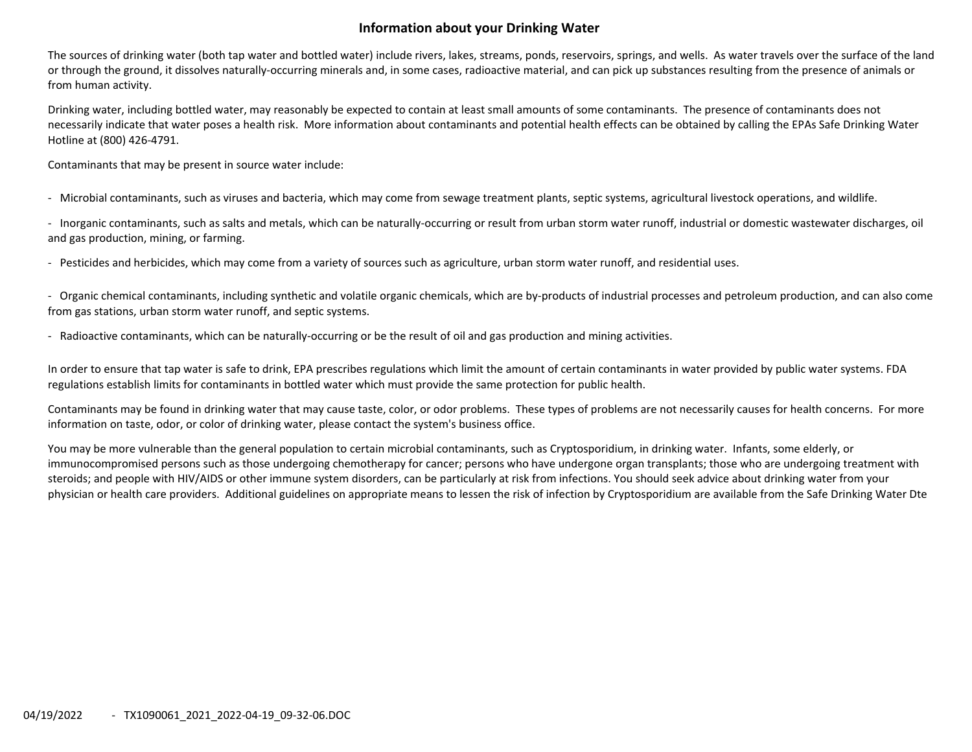## **Information about your Drinking Water**

The sources of drinking water (both tap water and bottled water) include rivers, lakes, streams, ponds, reservoirs, springs, and wells. As water travels over the surface of the land or through the ground, it dissolves naturally‐occurring minerals and, in some cases, radioactive material, and can pick up substances resulting from the presence of animals or from human activity.

Drinking water, including bottled water, may reasonably be expected to contain at least small amounts of some contaminants. The presence of contaminants does not necessarily indicate that water poses <sup>a</sup> health risk. More information about contaminants and potential health effects can be obtained by calling the EPAs Safe Drinking Water Hotline at (800) 426‐4791.

Contaminants that may be present in source water include:

‐ Microbial contaminants, such as viruses and bacteria, which may come from sewage treatment plants, septic systems, agricultural livestock operations, and wildlife.

‐ Inorganic contaminants, such as salts and metals, which can be naturally‐occurring or result from urban storm water runoff, industrial or domestic wastewater discharges, oil and gas production, mining, or farming.

‐ Pesticides and herbicides, which may come from <sup>a</sup> variety of sources such as agriculture, urban storm water runoff, and residential uses.

‐ Organic chemical contaminants, including synthetic and volatile organic chemicals, which are by‐products of industrial processes and petroleum production, and can also come from gas stations, urban storm water runoff, and septic systems.

‐ Radioactive contaminants, which can be naturally‐occurring or be the result of oil and gas production and mining activities.

In order to ensure that tap water is safe to drink, EPA prescribes regulations which limit the amount of certain contaminants in water provided by public water systems. FDA regulations establish limits for contaminants in bottled water which must provide the same protection for public health.

Contaminants may be found in drinking water that may cause taste, color, or odor problems. These types of problems are not necessarily causes for health concerns. For more information on taste, odor, or color of drinking water, please contact the system's business office.

You may be more vulnerable than the general population to certain microbial contaminants, such as Cryptosporidium, in drinking water. Infants, some elderly, or immunocompromised persons such as those undergoing chemotherapy for cancer; persons who have undergone organ transplants; those who are undergoing treatment with steroids; and people with HIV/AIDS or other immune system disorders, can be particularly at risk from infections. You should seek advice about drinking water from your physician or health care providers. Additional guidelines on appropriate means to lessen the risk of infection by Cryptosporidium are available from the Safe Drinking Water Dte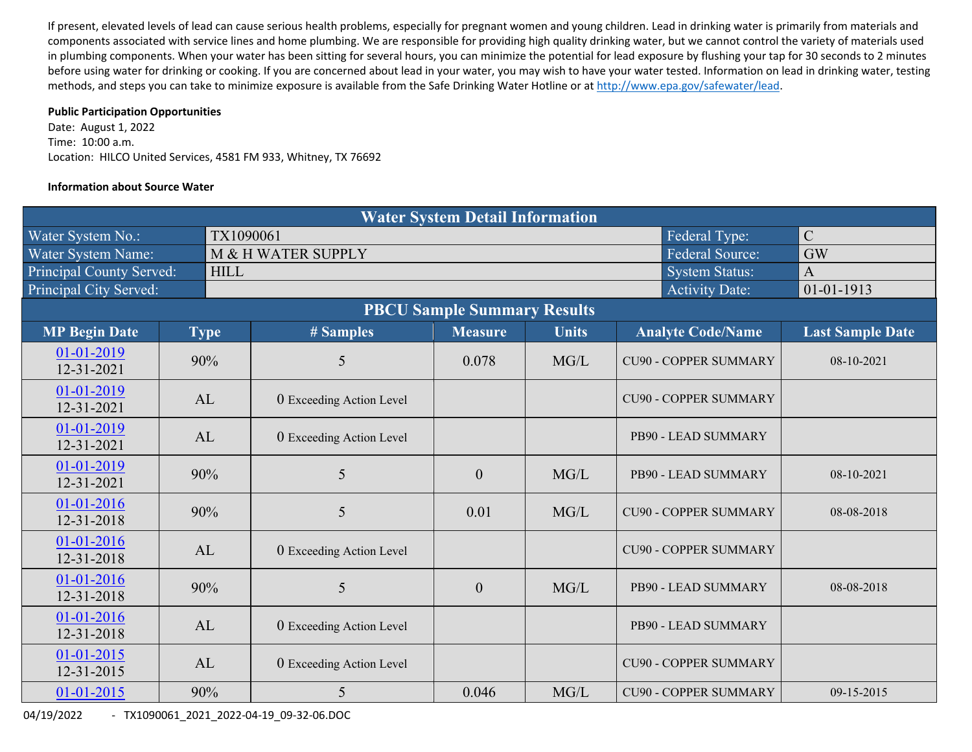If present, elevated levels of lead can cause serious health problems, especially for pregnant women and young children. Lead in drinking water is primarily from materials and components associated with service lines and home plumbing. We are responsible for providing high quality drinking water, but we cannot control the variety of materials used in plumbing components. When your water has been sitting for several hours, you can minimize the potential for lead exposure by flushing your tap for 30 seconds to 2 minutes before using water for drinking or cooking. If you are concerned about lead in your water, you may wish to have your water tested. Information on lead in drinking water, testing methods, and steps you can take to minimize exposure is available from the Safe Drinking Water Hotline or at http://www.epa.gov/safewater/lead.

#### **Public Participation Opportunities**

Date: August 1, 2022 Time: 10:00 a.m. Location: HILCO United Services, 4581 FM 933, Whitney, TX 76692

### **Information about Source Water**

| <b>Water System Detail Information</b> |  |             |                                 |                |              |                              |                         |  |  |  |  |  |
|----------------------------------------|--|-------------|---------------------------------|----------------|--------------|------------------------------|-------------------------|--|--|--|--|--|
| Water System No.:                      |  | TX1090061   |                                 | $\mathsf{C}$   |              |                              |                         |  |  |  |  |  |
| Water System Name:                     |  |             | M & H WATER SUPPLY              | GW             |              |                              |                         |  |  |  |  |  |
| Principal County Served:               |  | <b>HILL</b> |                                 |                |              | <b>System Status:</b>        | $\overline{A}$          |  |  |  |  |  |
| Principal City Served:                 |  |             |                                 |                |              | <b>Activity Date:</b>        | $01 - 01 - 1913$        |  |  |  |  |  |
|                                        |  |             |                                 |                |              |                              |                         |  |  |  |  |  |
| <b>MP Begin Date</b>                   |  | <b>Type</b> | # Samples                       | <b>Measure</b> | <b>Units</b> | <b>Analyte Code/Name</b>     | <b>Last Sample Date</b> |  |  |  |  |  |
| 01-01-2019<br>12-31-2021               |  | 90%         | 5                               | 0.078          | MG/L         | <b>CU90 - COPPER SUMMARY</b> | 08-10-2021              |  |  |  |  |  |
| 01-01-2019<br>12-31-2021               |  | AL          | <b>0</b> Exceeding Action Level |                |              | <b>CU90 - COPPER SUMMARY</b> |                         |  |  |  |  |  |
| 01-01-2019<br>12-31-2021               |  | AL          | 0 Exceeding Action Level        |                |              | PB90 - LEAD SUMMARY          |                         |  |  |  |  |  |
| $01 - 01 - 2019$<br>12-31-2021         |  | 90%         | 5                               | $\overline{0}$ | MG/L         | PB90 - LEAD SUMMARY          | 08-10-2021              |  |  |  |  |  |
| $01-01-2016$<br>12-31-2018             |  | 90%         | 5                               | 0.01           | MG/L         | <b>CU90 - COPPER SUMMARY</b> | 08-08-2018              |  |  |  |  |  |
| 01-01-2016<br>12-31-2018               |  | AL          | 0 Exceeding Action Level        |                |              | <b>CU90 - COPPER SUMMARY</b> |                         |  |  |  |  |  |
| $01 - 01 - 2016$<br>12-31-2018         |  | 90%         | 5                               | $\mathbf{0}$   | MG/L         | PB90 - LEAD SUMMARY          | 08-08-2018              |  |  |  |  |  |
| $01-01-2016$<br>12-31-2018             |  | AL          | 0 Exceeding Action Level        |                |              | PB90 - LEAD SUMMARY          |                         |  |  |  |  |  |
| $01-01-2015$<br>12-31-2015             |  | AL          | 0 Exceeding Action Level        |                |              | <b>CU90 - COPPER SUMMARY</b> |                         |  |  |  |  |  |
| $01 - 01 - 2015$                       |  | 90%         | 5                               | 0.046          | MG/L         | <b>CU90 - COPPER SUMMARY</b> | $09 - 15 - 2015$        |  |  |  |  |  |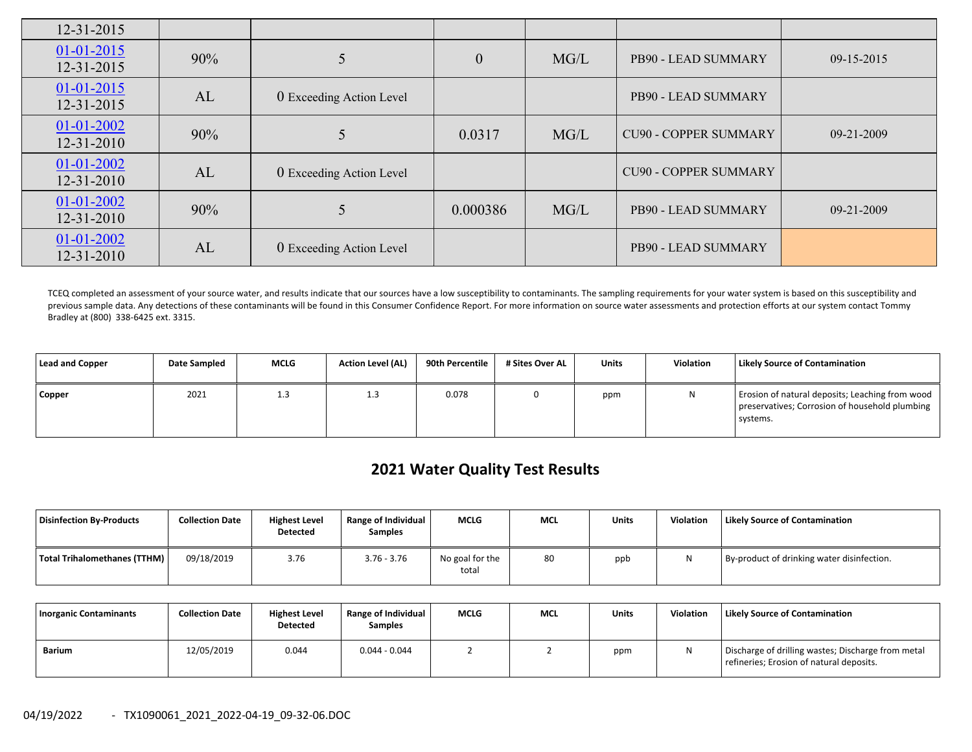| $12 - 31 - 2015$                     |     |                          |                  |      |                              |                  |
|--------------------------------------|-----|--------------------------|------------------|------|------------------------------|------------------|
| $01 - 01 - 2015$<br>$12 - 31 - 2015$ | 90% |                          | $\boldsymbol{0}$ | MG/L | PB90 - LEAD SUMMARY          | $09-15-2015$     |
| $01 - 01 - 2015$<br>12-31-2015       | AL  | 0 Exceeding Action Level |                  |      | PB90 - LEAD SUMMARY          |                  |
| $01 - 01 - 2002$<br>$12 - 31 - 2010$ | 90% |                          | 0.0317           | MG/L | <b>CU90 - COPPER SUMMARY</b> | 09-21-2009       |
| 01-01-2002<br>$12 - 31 - 2010$       | AL  | 0 Exceeding Action Level |                  |      | <b>CU90 - COPPER SUMMARY</b> |                  |
| $01 - 01 - 2002$<br>$12 - 31 - 2010$ | 90% |                          | 0.000386         | MG/L | PB90 - LEAD SUMMARY          | $09 - 21 - 2009$ |
| $01 - 01 - 2002$<br>$12 - 31 - 2010$ | AL  | 0 Exceeding Action Level |                  |      | PB90 - LEAD SUMMARY          |                  |

TCEQ completed an assessment of your source water, and results indicate that our sources have a low susceptibility to contaminants. The sampling requirements for your water system is based on this susceptibility and previous sample data. Any detections of these contaminants will be found in this Consumer Confidence Report. For more information on source water assessments and protection efforts at our system contact Tommy Bradley at (800) 338‐6425 ext. 3315.

| Lead and Copper | Date Sampled | <b>MCLG</b> | <b>Action Level (AL)</b> | 90th Percentile | # Sites Over AL | <b>Units</b> | <b>Violation</b> | <b>Likely Source of Contamination</b>                                                                         |
|-----------------|--------------|-------------|--------------------------|-----------------|-----------------|--------------|------------------|---------------------------------------------------------------------------------------------------------------|
| <b>Copper</b>   | 2021         | 1.3         | L.J                      | 0.078           |                 | ppm          | N                | Erosion of natural deposits; Leaching from wood<br>preservatives; Corrosion of household plumbing<br>systems. |

# **2021 Water Quality Test Results**

| Disinfection By-Products     | <b>Collection Date</b> | <b>Highest Level</b><br><b>Detected</b> | <b>Range of Individual</b><br><b>Samples</b> | <b>MCLG</b>              | <b>MCL</b> | <b>Units</b> | <b>Violation</b> | <b>Likely Source of Contamination</b>      |
|------------------------------|------------------------|-----------------------------------------|----------------------------------------------|--------------------------|------------|--------------|------------------|--------------------------------------------|
| Total Trihalomethanes (TTHM) | 09/18/2019             | 3.76                                    | $3.76 - 3.76$                                | No goal for the<br>total | 80         | ppb          |                  | By-product of drinking water disinfection. |

| <b>Inorganic Contaminants</b> | <b>Collection Date</b> | <b>Highest Level</b><br><b>Detected</b> | <b>Range of Individual</b><br><b>Samples</b> | <b>MCLG</b> | <b>MCL</b> | Units | <b>Violation</b> | <b>Likely Source of Contamination</b>                                                          |
|-------------------------------|------------------------|-----------------------------------------|----------------------------------------------|-------------|------------|-------|------------------|------------------------------------------------------------------------------------------------|
| Barium                        | 12/05/2019             | 0.044                                   | $0.044 - 0.044$                              |             |            | ppm   |                  | Discharge of drilling wastes; Discharge from metal<br>refineries; Erosion of natural deposits. |